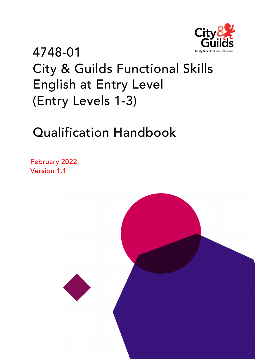

# 4748-01 City & Guilds Functional Skills English at Entry Level (Entry Levels 1-3)

# Qualification Handbook

February 2022 Version 1.1

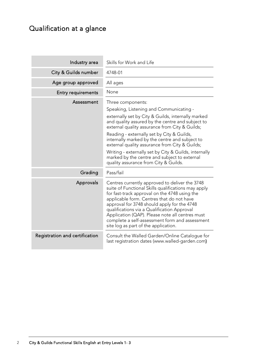## <span id="page-1-0"></span>Qualification at a glance

| Industry area                  | Skills for Work and Life                                                                                                                                                                                                                                                                                                                                                                                                                                                                                                     |
|--------------------------------|------------------------------------------------------------------------------------------------------------------------------------------------------------------------------------------------------------------------------------------------------------------------------------------------------------------------------------------------------------------------------------------------------------------------------------------------------------------------------------------------------------------------------|
| City & Guilds number           | 4748-01                                                                                                                                                                                                                                                                                                                                                                                                                                                                                                                      |
| Age group approved             | All ages                                                                                                                                                                                                                                                                                                                                                                                                                                                                                                                     |
| <b>Entry requirements</b>      | None                                                                                                                                                                                                                                                                                                                                                                                                                                                                                                                         |
| Assessment                     | Three components:<br>Speaking, Listening and Communicating -<br>externally set by City & Guilds, internally marked<br>and quality assured by the centre and subject to<br>external quality assurance from City & Guilds;<br>Reading - externally set by City & Guilds,<br>internally marked by the centre and subject to<br>external quality assurance from City & Guilds;<br>Writing - externally set by City & Guilds, internally<br>marked by the centre and subject to external<br>quality assurance from City & Guilds. |
| Grading                        | Pass/fail                                                                                                                                                                                                                                                                                                                                                                                                                                                                                                                    |
| Approvals                      | Centres currently approved to deliver the 3748<br>suite of Functional Skills qualifications may apply<br>for fast-track approval on the 4748 using the<br>applicable form. Centres that do not have<br>approval for 3748 should apply for the 4748<br>qualifications via a Qualification Approval<br>Application (QAP). Please note all centres must<br>complete a self-assessment form and assessment<br>site log as part of the application.                                                                               |
| Registration and certification | Consult the Walled Garden/Online Catalogue for<br>last registration dates (www.walled-garden.com)                                                                                                                                                                                                                                                                                                                                                                                                                            |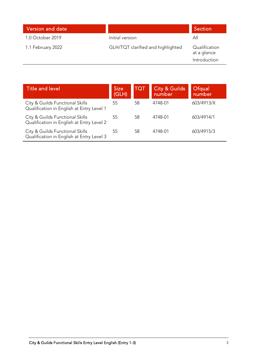| Version and date  |                                   | <b>Section</b>                               |
|-------------------|-----------------------------------|----------------------------------------------|
| 1.0 October 2019  | Initial version                   | All                                          |
| 1.1 February 2022 | GLH/TQT clarified and highlighted | Qualification<br>at a glance<br>Introduction |

| Title and level                                                              | <b>Size</b><br>(GLH) | TQT | <b>City &amp; Guilds</b><br>number | Ofqual<br>number |
|------------------------------------------------------------------------------|----------------------|-----|------------------------------------|------------------|
| City & Guilds Functional Skills<br>Qualification in English at Entry Level 1 | 55                   | 58  | 4748-01                            | 603/4913/X       |
| City & Guilds Functional Skills<br>Qualification in English at Entry Level 2 | 55                   | 58  | 4748-01                            | 603/4914/1       |
| City & Guilds Functional Skills<br>Qualification in English at Entry Level 3 | 55                   | 58  | 4748-01                            | 603/4915/3       |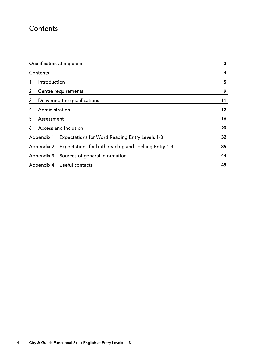## <span id="page-3-0"></span>**Contents**

| Qualification at a glance |                                                       | $\mathbf{2}$ |
|---------------------------|-------------------------------------------------------|--------------|
| Contents                  |                                                       | 4            |
| Introduction<br>1         |                                                       | 5            |
| 2                         | Centre requirements                                   | 9            |
| 3                         | Delivering the qualifications                         | 11           |
| Administration<br>4       |                                                       | 12           |
| 5<br>Assessment           |                                                       | 16           |
| 6                         | Access and Inclusion                                  | 29           |
| Appendix 1                | <b>Expectations for Word Reading Entry Levels 1-3</b> | 32           |
| Appendix 2                | Expectations for both reading and spelling Entry 1-3  | 35           |
| Appendix 3                | Sources of general information                        | 44           |
| Appendix 4                | Useful contacts                                       | 45           |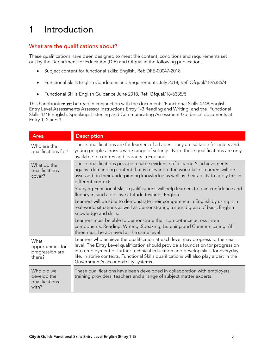## <span id="page-4-0"></span>1 Introduction

### What are the qualifications about?

These qualifications have been designed to meet the content, conditions and requirements set out by the Department for Education (DfE) and Ofqual in the following publications,

- [Subject content for functional skills:](https://assets.publishing.service.gov.uk/government/uploads/system/uploads/attachment_data/file/682834/Functional_Skills_Subject_Content_English.pdf) English, Ref: DFE-00047-2018
- Functional Skills English [Conditions and Requirements July 2018,](https://assets.publishing.service.gov.uk/government/uploads/system/uploads/attachment_data/file/729884/functional-skills-english-conditions-and-requirements.pdf) Ref: Ofqual/18/6385/4
- Functional Skills [English Guidance June 2018,](https://assets.publishing.service.gov.uk/government/uploads/system/uploads/attachment_data/file/720024/functional-skills-english-guidance.pdf) Ref: Ofqual/18/6385/5

This handbook must be read in conjunction with the documents 'Functional Skills 4748 English Entry Level Assessments Assessor Instructions Entry 1-3 Reading and Writing' and the 'Functional Skills 4748 English: Speaking, Listening and Communicating Assessment Guidance' documents at Entry 1, 2 and 3.

| Area                                                   | <b>Description</b>                                                                                                                                                                                                                                                                                                                                                                   |
|--------------------------------------------------------|--------------------------------------------------------------------------------------------------------------------------------------------------------------------------------------------------------------------------------------------------------------------------------------------------------------------------------------------------------------------------------------|
| Who are the<br>qualifications for?                     | These qualifications are for learners of all ages. They are suitable for adults and<br>young people across a wide range of settings. Note these qualifications are only<br>available to centres and learners in England.                                                                                                                                                             |
| What do the<br>qualifications<br>cover?                | These qualifications provide reliable evidence of a learner's achievements<br>against demanding content that is relevant to the workplace. Learners will be<br>assessed on their underpinning knowledge as well as their ability to apply this in<br>different contexts.                                                                                                             |
|                                                        | Studying Functional Skills qualifications will help learners to gain confidence and<br>fluency in, and a positive attitude towards, English.                                                                                                                                                                                                                                         |
|                                                        | Learners will be able to demonstrate their competence in English by using it in<br>real-world situations as well as demonstrating a sound grasp of basic English<br>knowledge and skills.                                                                                                                                                                                            |
|                                                        | Learners must be able to demonstrate their competence across three<br>components, Reading; Writing; Speaking, Listening and Communicating. All<br>three must be achieved at the same level.                                                                                                                                                                                          |
| What<br>opportunities for<br>progression are<br>there? | Learners who achieve the qualification at each level may progress to the next<br>level. The Entry Level qualification should provide a foundation for progression<br>into employment or further technical education and develop skills for everyday<br>life. In some contexts, Functional Skills qualifications will also play a part in the<br>Government's accountability systems. |
| Who did we<br>develop the<br>qualifications<br>with?   | These qualifications have been developed in collaboration with employers,<br>training providers, teachers and a range of subject matter experts.                                                                                                                                                                                                                                     |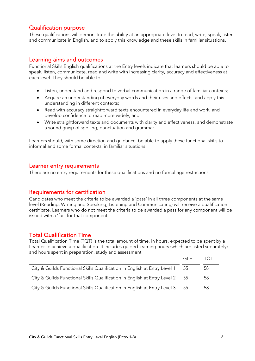#### Qualification purpose

These qualifications will demonstrate the ability at an appropriate level to read, write, speak, listen and communicate in English, and to apply this knowledge and these skills in familiar situations.

#### Learning aims and outcomes

Functional Skills English qualifications at the Entry levels indicate that learners should be able to speak, listen, communicate, read and write with increasing clarity, accuracy and effectiveness at each level. They should be able to:

- Listen, understand and respond to verbal communication in a range of familiar contexts;
- Acquire an understanding of everyday words and their uses and effects, and apply this understanding in different contexts;
- Read with accuracy straightforward texts encountered in everyday life and work, and develop confidence to read more widely; and
- Write straightforward texts and documents with clarity and effectiveness, and demonstrate a sound grasp of spelling, punctuation and grammar.

Learners should, with some direction and guidance, be able to apply these functional skills to informal and some formal contexts, in familiar situations.

#### Learner entry requirements

There are no entry requirements for these qualifications and no formal age restrictions.

#### Requirements for certification

Candidates who meet the criteria to be awarded a 'pass' in all three components at the same level (Reading, Writing and Speaking, Listening and Communicating) will receive a qualification certificate. Learners who do not meet the criteria to be awarded a pass for any component will be issued with a 'fail' for that component.

#### Total Qualification Time

Total Qualification Time (TQT) is the total amount of time, in hours, expected to be spent by a Learner to achieve a qualification. It includes guided learning hours (which are listed separately) and hours spent in preparation, study and assessment.

|                                                                           | GI H | ( ) |
|---------------------------------------------------------------------------|------|-----|
| City & Guilds Functional Skills Qualification in English at Entry Level 1 | 55   | 58  |
| City & Guilds Functional Skills Qualification in English at Entry Level 2 | -55  | 58  |
| City & Guilds Functional Skills Qualification in English at Entry Level 3 | -55  | 58  |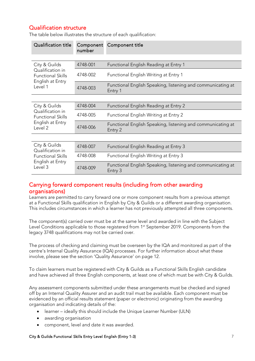#### Qualification structure

| <b>Qualification title</b>                                                  | Component<br>number | Component title                                                        |
|-----------------------------------------------------------------------------|---------------------|------------------------------------------------------------------------|
|                                                                             |                     |                                                                        |
| City & Guilds                                                               | 4748-001            | Functional English Reading at Entry 1                                  |
| Qualification in<br><b>Functional Skills</b><br>English at Entry            | 4748-002            | Functional English Writing at Entry 1                                  |
| Level 1                                                                     | 4748-003            | Functional English Speaking, listening and communicating at<br>Entry 1 |
|                                                                             |                     |                                                                        |
| City & Guilds                                                               | 4748-004            | Functional English Reading at Entry 2                                  |
| Qualification in<br><b>Functional Skills</b><br>English at Entry<br>Level 2 | 4748-005            | Functional English Writing at Entry 2                                  |
|                                                                             | 4748-006            | Functional English Speaking, listening and communicating at<br>Entry 2 |
|                                                                             |                     |                                                                        |
| City & Guilds<br>Qualification in                                           | 4748-007            | <b>Functional English Reading at Entry 3</b>                           |
| <b>Functional Skills</b>                                                    | 4748-008            | Functional English Writing at Entry 3                                  |
| English at Entry<br>Level 3                                                 | 4748-009            | Functional English Speaking, listening and communicating at<br>Entry 3 |

The table below illustrates the structure of each qualification:

#### Carrying forward component results (including from other awarding organisations)

Learners are permitted to carry forward one or more component results from a previous attempt at a Functional Skills qualification in English by City & Guilds or a different awarding organisation. This includes circumstances in which a learner has not previously attempted all three components.

The component(s) carried over must be at the same level and awarded in line with the Subject Level Conditions applicable to those registered from 1<sup>st</sup> September 2019. Components from the legacy 3748 qualifications may not be carried over.

The process of checking and claiming must be overseen by the IQA and monitored as part of the centre's Internal Quality Assurance (IQA) processes. For further information about what these involve, please see the section ['Quality Assurance'](#page-12-0) on page 12.

To claim learners must be registered with City & Guilds as a Functional Skills English candidate and have achieved all three English components, at least one of which must be with City & Guilds.

Any assessment components submitted under these arrangements must be checked and signed off by an Internal Quality Assurer and an audit trail must be available. Each component must be evidenced by an official results statement (paper or electronic) originating from the awarding organisation and indicating details of the:

- learner ideally this should include the Unique Learner Number (ULN)
- awarding organisation
- component, level and date it was awarded.

#### City & Guilds Functional Skills Entry Level English (Entry 1-3) 7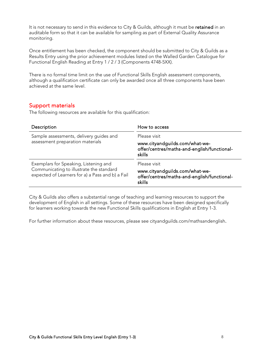It is not necessary to send in this evidence to City & Guilds, although it must be retained in an auditable form so that it can be available for sampling as part of External Quality Assurance monitoring.

Once entitlement has been checked, the component should be submitted to City & Guilds as a Results Entry using the prior achievement modules listed on the Walled Garden Catalogue for Functional English Reading at Entry 1 / 2 / 3 (Components 4748-5XX).

There is no formal time limit on the use of Functional Skills English assessment components, although a qualification certificate can only be awarded once all three components have been achieved at the same level.

#### Support materials

The following resources are available for this qualification:

| Description                                                                                                                           | How to access                                                                                           |
|---------------------------------------------------------------------------------------------------------------------------------------|---------------------------------------------------------------------------------------------------------|
| Sample assessments, delivery guides and                                                                                               | Please visit                                                                                            |
| assessment preparation materials                                                                                                      | www.cityandguilds.com/what-we-<br>offer/centres/maths-and-english/functional-<br>skills                 |
| Exemplars for Speaking, Listening and<br>Communicating to illustrate the standard<br>expected of Learners for a) a Pass and b) a Fail | Please visit<br>www.cityandguilds.com/what-we-<br>offer/centres/maths-and-english/functional-<br>skills |

City & Guilds also offers a substantial range of teaching and learning resources to support the development of English in all settings. Some of these resources have been designed specifically for learners working towards the new Functional Skills qualifications in English at Entry 1-3.

For further information about these resources, please see [cityandguilds.com/mathsandenglish.](http://www.cityandguilds.com/mathsandenglish)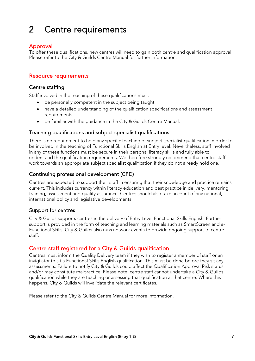## <span id="page-8-0"></span>2 Centre requirements

#### Approval

To offer these qualifications, new centres will need to gain both centre and qualification approval. Please refer to the [City & Guilds Centre Manual](https://www.cityandguilds.com/%7E/media/cityandguilds-site/documents/what-we-offer/centres/centre%20document%20library/quality-assurance-documents/centre-manual%20pdf.ashx) for further information.

#### Resource requirements

#### Centre staffing

Staff involved in the teaching of these qualifications must:

- be personally competent in the subject being taught
- have a detailed understanding of the qualification specifications and assessment requirements
- be familiar with the guidance in the [City & Guilds Centre Manual.](https://www.cityandguilds.com/%7E/media/cityandguilds-site/documents/what-we-offer/centres/centre%20document%20library/quality-assurance-documents/centre-manual%20pdf.ashx)

#### Teaching qualifications and subject specialist qualifications

There is no requirement to hold any specific teaching or subject specialist qualification in order to be involved in the teaching of Functional Skills English at Entry level. Nevertheless, staff involved in any of these functions must be secure in their personal literacy skills and fully able to understand the qualification requirements. We therefore strongly recommend that centre staff work towards an appropriate subject specialist qualification if they do not already hold one.

#### Continuing professional development (CPD)

Centres are expected to support their staff in ensuring that their knowledge and practice remains current. This includes currency within literacy education and best practice in delivery, mentoring, training, assessment and quality assurance. Centres should also take account of any national, international policy and legislative developments.

#### Support for centres

City & Guilds supports centres in the delivery of Entry Level Functional Skills English. Further support is provided in the form of teaching and learning materials such as SmartScreen and e-Functional Skills. City & Guilds also runs network events to provide ongoing support to centre staff.

#### Centre staff registered for a City & Guilds qualification

Centres must inform the Quality Delivery team if they wish to register a member of staff or an invigilator to sit a Functional Skills English qualification. This must be done before they sit any assessments. Failure to notify City & Guilds could affect the Qualification Approval Risk status and/or may constitute malpractice. Please note, centre staff cannot undertake a City & Guilds qualification while they are teaching or assessing that qualification at that centre. Where this happens, City & Guilds will invalidate the relevant certificates.

Please refer to the [City & Guilds Centre Manual](https://www.cityandguilds.com/%7E/media/cityandguilds-site/documents/what-we-offer/centres/centre%20document%20library/quality-assurance-documents/centre-manual%20pdf.ashx) for more information.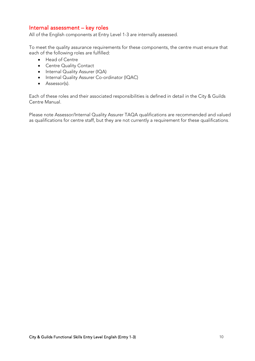#### Internal assessment – key roles

All of the English components at Entry Level 1-3 are internally assessed.

To meet the quality assurance requirements for these components, the centre must ensure that each of the following roles are fulfilled:

- Head of Centre
- Centre Quality Contact
- Internal Quality Assurer (IQA)
- Internal Quality Assurer Co-ordinator (IQAC)
- Assessor(s).

Each of these roles and their associated responsibilities is defined in detail in the [City & Guilds](https://www.cityandguilds.com/%7E/media/cityandguilds-site/documents/what-we-offer/centres/centre%20document%20library/quality-assurance-documents/centre-manual%20pdf.ashx)  [Centre Manual.](https://www.cityandguilds.com/%7E/media/cityandguilds-site/documents/what-we-offer/centres/centre%20document%20library/quality-assurance-documents/centre-manual%20pdf.ashx) 

Please note Assessor/Internal Quality Assurer TAQA qualifications are recommended and valued as qualifications for centre staff, but they are not currently a requirement for these qualifications.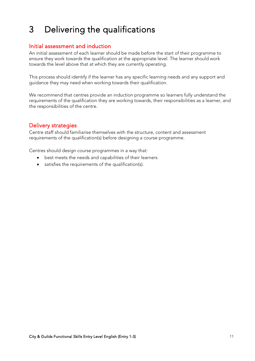## <span id="page-10-0"></span>3 Delivering the qualifications

#### Initial assessment and induction

An initial assessment of each learner should be made before the start of their programme to ensure they work towards the qualification at the appropriate level. The learner should work towards the level above that at which they are currently operating.

This process should identify if the learner has any specific learning needs and any support and guidance they may need when working towards their qualification.

We recommend that centres provide an induction programme so learners fully understand the requirements of the qualification they are working towards, their responsibilities as a learner, and the responsibilities of the centre.

#### Delivery strategies

Centre staff should familiarise themselves with the structure, content and assessment requirements of the qualification(s) before designing a course programme.

Centres should design course programmes in a way that:

- best meets the needs and capabilities of their learners
- satisfies the requirements of the qualification(s).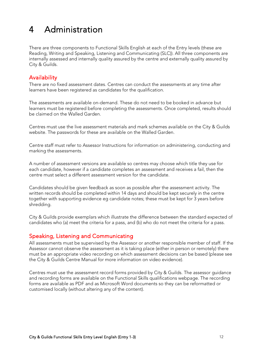## <span id="page-11-0"></span>4 Administration

There are three components to Functional Skills English at each of the Entry levels (these are Reading, Writing and Speaking, Listening and Communicating (SLC)). All three components are internally assessed and internally quality assured by the centre and externally quality assured by City & Guilds.

#### **Availability**

There are no fixed assessment dates. Centres can conduct the assessments at any time after learners have been registered as candidates for the qualification.

The assessments are available on-demand. These do not need to be booked in advance but learners must be registered before completing the assessments. Once completed, results should be claimed on the Walled Garden.

Centres must use the live assessment materials and mark schemes available on the City & Guilds website. The passwords for these are available on the Walled Garden.

Centre staff must refer to Assessor Instructions for information on administering, conducting and marking the assessments.

A number of assessment versions are available so centres may choose which title they use for each candidate, however if a candidate completes an assessment and receives a fail, then the centre must select a different assessment version for the candidate.

Candidates should be given feedback as soon as possible after the assessment activity. The written records should be completed within 14 days and should be kept securely in the centre together with supporting evidence eg candidate notes; these must be kept for 3 years before shredding.

City & Guilds provide exemplars which illustrate the difference between the standard expected of candidates who (a) meet the criteria for a pass, and (b) who do not meet the criteria for a pass.

#### Speaking, Listening and Communicating

All assessments must be supervised by the Assessor or another responsible member of staff. If the Assessor cannot observe the assessment as it is taking place (either in person or remotely) there must be an appropriate video recording on which assessment decisions can be based (please see the [City & Guilds Centre Manual](https://www.cityandguilds.com/delivering-our-qualifications/centre-development/quality-assurance/quality-assurance-documents) for more information on video evidence).

Centres must use the assessment record forms provided by City & Guilds. The assessor guidance and recording forms are available on the Functional Skills qualifications webpage. The recording forms are available as PDF and as Microsoft Word documents so they can be reformatted or customised locally (without altering any of the content).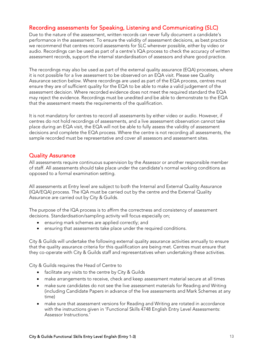#### Recording assessments for Speaking, Listening and Communicating (SLC)

Due to the nature of the assessment, written records can never fully document a candidate's performance in the assessment. To ensure the validity of assessment decisions, as best practice we recommend that centres record assessments for SLC wherever possible, either by video or audio. Recordings can be used as part of a centre's IQA process to check the accuracy of written assessment records, support the internal standardisation of assessors and share good practice.

The recordings may also be used as part of the external quality assurance (EQA) processes, where it is not possible for a live assessment to be observed on an EQA visit. Please see Quality Assurance section below. Where recordings are used as part of the EQA process, centres must ensure they are of sufficient quality for the EQA to be able to make a valid judgement of the assessment decision. Where recorded evidence does not meet the required standard the EQA may reject the evidence. Recordings must be unedited and be able to demonstrate to the EQA that the assessment meets the requirements of the qualification.

It is not mandatory for centres to record all assessments by either video or audio. However, if centres do not hold recordings of assessments, and a live assessment observation cannot take place during an EQA visit, the EQA will not be able to fully assess the validity of assessment decisions and complete the EQA process. Where the centre is not recording all assessments, the sample recorded must be representative and cover all assessors and assessment sites.

#### <span id="page-12-0"></span>Quality Assurance

All assessments require continuous supervision by the Assessor or another responsible member of staff. All assessments should take place under the candidate's normal working conditions as opposed to a formal examination setting.

All assessments at Entry level are subject to both the Internal and External Quality Assurance (IQA/EQA) process. The IQA must be carried out by the centre and the External Quality Assurance are carried out by City & Guilds.

The purpose of the IQA process is to affirm the correctness and consistency of assessment decisions. Standardisation/sampling activity will focus especially on;

- ensuring mark schemes are applied correctly; and
- ensuring that assessments take place under the required conditions.

City & Guilds will undertake the following external quality assurance activities annually to ensure that the quality assurance criteria for this qualification are being met. Centres must ensure that they co-operate with City & Guilds staff and representatives when undertaking these activities.

City & Guilds requires the Head of Centre to

- facilitate any visits to the centre by City & Guilds
- make arrangements to receive, check and keep assessment material secure at all times
- make sure candidates do not see the live assessment materials for Reading and Writing (including Candidate Papers in advance of the live assessments and Mark Schemes at any time)
- make sure that assessment versions for Reading and Writing are rotated in accordance with the instructions given in 'Functional Skills 4748 English Entry Level Assessments: Assessor Instructions.'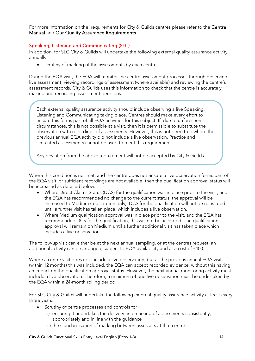For more information on the requirements for City & Guilds centres please refer to the Centre [Manual](https://www.cityandguilds.com/-/media/cityandguilds-site/documents/what-we-offer/centres/centre-document-library/quality-assurance-documents/centre-manual-pdf.ashx?la=en&hash=91D96542BF935F478D48D444E1AD05E464FEBAAC) and [Our Quality Assurance Requirements.](https://www.cityandguilds.com/-/media/cityandguilds-site/documents/what-we-offer/centres/centre-document-library/quality-assurance-documents/our-quality-assurance-requirements-v5,-d-,2-july-2016-pdf.ashx?la=en&hash=ABD36557607E406B6C28A6281278E640E103ADA3)

#### Speaking, Listening and Communicating (SLC)

d i

In addition, for SLC City & Guilds will undertake the following external quality assurance activity annually:

• scrutiny of marking of the assessments by each centre.

During the EQA visit, the EQA will monitor the centre assessment processes through observing live assessment, viewing recordings of assessment (where available) and reviewing the centre's assessment records. City & Guilds uses this information to check that the centre is accurately making and recording assessment decisions.

Each external quality assurance activity should include observing a live Speaking, Listening and Communicating taking place. Centres should make every effort to ensure this forms part of all EQA activities for this subject. If, due to unforeseen circumstances, this is not possible at a visit, then it is permissible to substitute the observation with recordings of assessments. However, this is not permitted where the previous annual EQA activity did not include a live observation. Practice and simulated assessments cannot be used to meet this requirement.

Any deviation from the above requirement will not be accepted by City & Guilds

Where this condition is not met, and the centre does not ensure a live observation forms part of the EQA visit, or sufficient recordings are not available, then the qualification approval status will be increased as detailed below:

- Where Direct Claims Status (DCS) for the qualification was in place prior to the visit, and the EQA has recommended no change to the current status, the approval will be increased to Medium (registration only). DCS for the qualification will not be reinstated until a further visit has taken place, which includes a live observation.
- Where Medium qualification approval was in place prior to the visit, and the EQA has recommended DCS for the qualification, this will not be accepted. The qualification approval will remain on Medium until a further additional visit has taken place which includes a live observation.

The follow-up visit can either be at the next annual sampling, or at the centres request, an additional activity can be arranged, subject to EQA availability and at a cost of £400.

Where a centre visit does not include a live observation, but at the previous annual EQA visit (within 12 months) this was included, the EQA can accept recorded evidence, without this having an impact on the qualification approval status. However, the next annual monitoring activity must include a live observation. Therefore, a minimum of one live observation must be undertaken by the EQA within a 24-month rolling period.

For SLC City & Guilds will undertake the following external quality assurance activity at least every three years:

- Scrutiny of centre processes and controls for
	- i) ensuring it undertakes the delivery and marking of assessments consistently, appropriately and in line with the guidance
	- ii) the standardisation of marking between assessors at that centre.

#### City & Guilds Functional Skills Entry Level English (Entry 1-3) 14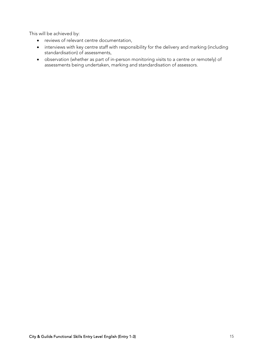This will be achieved by:

- reviews of relevant centre documentation,
- interviews with key centre staff with responsibility for the delivery and marking (including standardisation) of assessments,
- observation (whether as part of in-person monitoring visits to a centre or remotely) of assessments being undertaken, marking and standardisation of assessors.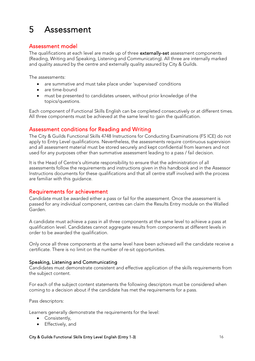## <span id="page-15-0"></span>5 Assessment

#### Assessment model

The qualifications at each level are made up of three externally-set assessment components (Reading, Writing and Speaking, Listening and Communicating). All three are internally marked and quality assured by the centre and externally quality assured by City & Guilds.

The assessments:

- are summative and must take place under 'supervised' conditions
- are time-bound
- must be presented to candidates unseen, without prior knowledge of the topics/questions.

Each component of Functional Skills English can be completed consecutively or at different times. All three components must be achieved at the same level to gain the qualification.

#### Assessment conditions for Reading and Writing

The City & Guilds Functional Skills 4748 Instructions for Conducting Examinations (FS ICE) do not apply to Entry Level qualifications. Nevertheless, the assessments require continuous supervision and all assessment material must be stored securely and kept confidential from learners and not used for any purposes other than summative assessment leading to a pass / fail decision.

It is the Head of Centre's ultimate responsibility to ensure that the administration of all assessments follow the requirements and instructions given in this handbook and in the Assessor Instructions documents for these qualifications and that all centre staff involved with the process are familiar with this guidance.

#### Requirements for achievement

Candidate must be awarded either a pass or fail for the assessment. Once the assessment is passed for any individual component, centres can claim the Results Entry module on the Walled Garden.

A candidate must achieve a pass in all three components at the same level to achieve a pass at qualification level. Candidates cannot aggregate results from components at different levels in order to be awarded the qualification.

Only once all three components at the same level have been achieved will the candidate receive a certificate. There is no limit on the number of re-sit opportunities.

#### Speaking, Listening and Communicating

Candidates must demonstrate consistent and effective application of the skills requirements from the subject content.

For each of the subject content statements the following descriptors must be considered when coming to a decision about if the candidate has met the requirements for a pass.

Pass descriptors:

Learners generally demonstrate the requirements for the level:

- Consistently,
- Effectively, and

#### City & Guilds Functional Skills Entry Level English (Entry 1-3) 16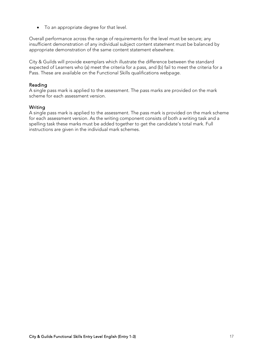• To an appropriate degree for that level.

Overall performance across the range of requirements for the level must be secure; any insufficient demonstration of any individual subject content statement must be balanced by appropriate demonstration of the same content statement elsewhere.

City & Guilds will provide exemplars which illustrate the difference between the standard expected of Learners who (a) meet the criteria for a pass, and (b) fail to meet the criteria for a Pass. These are available on the [Functional Skills qualifications webpage.](https://www.cityandguilds.com/qualifications-and-apprenticeships/skills-for-work-and-life/english-mathematics-and-ict-skills/3748-functional-skills-qualifications#tab=information)

#### Reading

A single pass mark is applied to the assessment. The pass marks are provided on the mark scheme for each assessment version.

#### Writing

A single pass mark is applied to the assessment. The pass mark is provided on the mark scheme for each assessment version. As the writing component consists of both a writing task and a spelling task these marks must be added together to get the candidate's total mark. Full instructions are given in the individual mark schemes.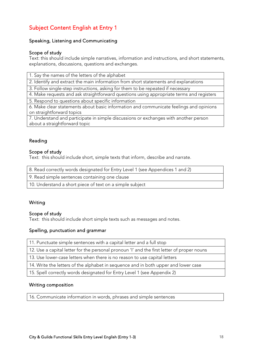## Subject Content English at Entry 1

#### Speaking, Listening and Communicating

#### Scope of study

Text: this should include simple narratives, information and instructions, and short statements, explanations, discussions, questions and exchanges.

1. Say the names of the letters of the alphabet

2. Identify and extract the main information from short statements and explanations

3. Follow single-step instructions, asking for them to be repeated if necessary

4. Make requests and ask straightforward questions using appropriate terms and registers

5. Respond to questions about specific information

6. Make clear statements about basic information and communicate feelings and opinions on straightforward topics

7. Understand and participate in simple discussions or exchanges with another person about a straightforward topic

#### Reading

#### Scope of study

Text: this should include short, simple texts that inform, describe and narrate.

8. Read correctly words designated for Entry Level 1 (see Appendices 1 and 2)

9. Read simple sentences containing one clause

10. Understand a short piece of text on a simple subject

#### Writing

#### Scope of study

Text: this should include short simple texts such as messages and notes.

#### Spelling, punctuation and grammar

| 11. Punctuate simple sentences with a capital letter and a full stop                       |
|--------------------------------------------------------------------------------------------|
| 12. Use a capital letter for the personal pronoun 'I' and the first letter of proper nouns |
| 13. Use lower-case letters when there is no reason to use capital letters                  |
| 14. Write the letters of the alphabet in sequence and in both upper and lower case         |
| 15. Spell correctly words designated for Entry Level 1 (see Appendix 2)                    |

#### Writing composition

16. Communicate information in words, phrases and simple sentences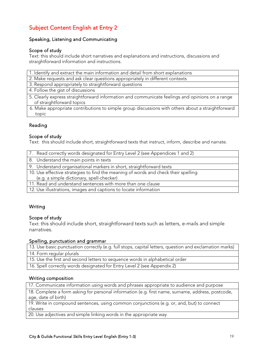### Subject Content English at Entry 2

#### Speaking, Listening and Communicating

#### Scope of study

Text: this should include short narratives and explanations and instructions, discussions and straightforward information and instructions.

1. Identify and extract the main information and detail from short explanations

2. Make requests and ask clear questions appropriately in different contexts

- 3. Respond appropriately to straightforward questions
- 4. Follow the gist of discussions
- 5. Clearly express straightforward information and communicate feelings and opinions on a range of straightforward topics
- 6. Make appropriate contributions to simple group discussions with others about a straightforward topic

#### Reading

#### Scope of study

Text: this should include short, straightforward texts that instruct, inform, describe and narrate.

| 7. Read correctly words designated for Entry Level 2 (see Appendices 1 and 2)      |
|------------------------------------------------------------------------------------|
| 8. Understand the main points in texts                                             |
| 9. Understand organisational markers in short, straightforward texts               |
| 10. Use effective strategies to find the meaning of words and check their spelling |
| (e.g. a simple dictionary, spell-checker)                                          |
| 11. Read and understand sentences with more than one clause                        |
| 12. Use illustrations, images and captions to locate information                   |

#### Writing

#### Scope of study

Text: this should include short, straightforward texts such as letters, e-mails and simple narratives.

#### Spelling, punctuation and grammar

13. Use basic punctuation correctly (e.g. full stops, capital letters, question and exclamation marks) 14. Form regular plurals

15. Use the first and second letters to sequence words in alphabetical order

16. Spell correctly words designated for Entry Level 2 (see Appendix 2)

#### Writing composition

17. Communicate information using words and phrases appropriate to audience and purpose

18. Complete a form asking for personal information (e.g. first name, surname, address, postcode, age, date of birth)

19. Write in compound sentences, using common conjunctions (e.g. or, and, but) to connect clauses

20. Use adjectives and simple linking words in the appropriate way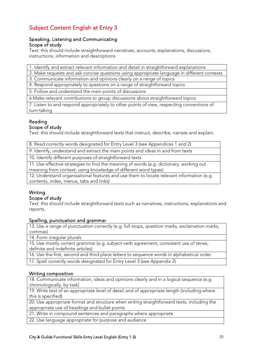### Subject Content English at Entry 3

#### Speaking, Listening and Communicating Scope of study

Text: this should include straightforward narratives, accounts, explanations, discussions, instructions, information and descriptions

1. Identify and extract relevant information and detail in straightforward explanations

2. Make requests and ask concise questions using appropriate language in different contexts

3. Communicate information and opinions clearly on a range of topics

4. Respond appropriately to questions on a range of straightforward topics

5. Follow and understand the main points of discussions

6.Make relevant contributions to group discussions about straightforward topics

7. Listen to and respond appropriately to other points of view, respecting conventions of turn-taking

#### Reading

#### Scope of study

Text: this should include straightforward texts that instruct, describe, narrate and explain.

| 8. Read correctly words designated for Entry Level 3 (see Appendices 1 and 2) |  |  |  |
|-------------------------------------------------------------------------------|--|--|--|
|                                                                               |  |  |  |

9. Identify, understand and extract the main points and ideas in and from texts

10. Identify different purposes of straightforward texts

11. Use effective strategies to find the meaning of words (e.g. dictionary, working out meaning from context; using knowledge of different word types)

12. Understand organisational features and use them to locate relevant information (e.g. contents, index, menus, tabs and links)

#### Writing

#### Scope of study

Text: this should include straightforward texts such as narratives, instructions, explanations and reports.

#### Spelling, punctuation and grammar

13. Use a range of punctuation correctly (e.g. full stops, question marks, exclamation marks, commas)

14. Form irregular plurals

15. Use mostly correct grammar (e.g. subject-verb agreement, consistent use of tense, definite and indefinite articles)

16. Use the first, second and third place letters to sequence words in alphabetical order

17. Spell correctly words designated for Entry Level 3 (see Appendix 2)

#### Writing composition

18. Communicate information, ideas and opinions clearly and in a logical sequence (e.g. chronologically, by task)

19. Write text of an appropriate level of detail and of appropriate length (including where this is specified)

20. Use appropriate format and structure when writing straightforward texts, including the appropriate use of headings and bullet points

21. Write in compound sentences and paragraphs where appropriate

22. Use language appropriate for purpose and audience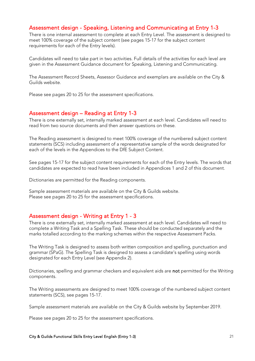#### Assessment design - Speaking, Listening and Communicating at Entry 1-3

There is one internal assessment to complete at each Entry Level. The assessment is designed to meet 100% coverage of the subject content (see pages 15-17 for the subject content requirements for each of the Entry levels).

Candidates will need to take part in two activities. Full details of the activities for each level are given in the Assessment Guidance document for Speaking, Listening and Communicating.

The Assessment Record Sheets, Assessor Guidance and exemplars are available on the City & Guilds website.

Please see pages 20 to 25 for the assessment specifications.

#### Assessment design – Reading at Entry 1-3

There is one externally set, internally marked assessment at each level. Candidates will need to read from two source documents and then answer questions on these.

The Reading assessment is designed to meet 100% coverage of the numbered subject content statements (SCS) including assessment of a representative sample of the words designated for each of the levels in the Appendices to the DfE Subject Content.

See pages 15-17 for the subject content requirements for each of the Entry levels. The words that candidates are expected to read have been included in Appendices 1 and 2 of this document.

Dictionaries are permitted for the Reading components.

Sample assessment materials are available on the City & Guilds website. Please see pages 20 to 25 for the assessment specifications.

#### Assessment design - Writing at Entry 1 - 3

There is one externally set, internally marked assessment at each level. Candidates will need to complete a Writing Task and a Spelling Task. These should be conducted separately and the marks totalled according to the marking schemes within the respective Assessment Packs.

The Writing Task is designed to assess both written composition and spelling, punctuation and grammar (SPaG). The Spelling Task is designed to assess a candidate's spelling using words designated for each Entry Level (see Appendix 2).

Dictionaries, spelling and grammar checkers and equivalent aids are not permitted for the Writing components.

The Writing assessments are designed to meet 100% coverage of the numbered subject content statements (SCS), see pages 15-17.

Sample assessment materials are available on the City & Guilds website by September 2019.

Please see pages 20 to 25 for the assessment specifications.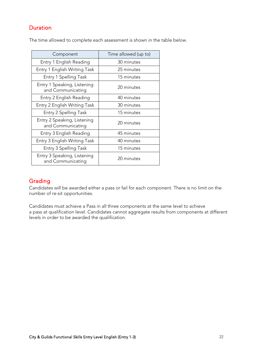#### **Duration**

The time allowed to complete each assessment is shown in the table below.

| Component                                        | Time allowed (up to) |
|--------------------------------------------------|----------------------|
| Entry 1 English Reading                          | 30 minutes           |
| Entry 1 English Writing Task                     | 25 minutes           |
| Entry 1 Spelling Task                            | 15 minutes           |
| Entry 1 Speaking, Listening<br>and Communicating | 20 minutes           |
| Entry 2 English Reading                          | 40 minutes           |
| Entry 2 English Writing Task                     | 30 minutes           |
| Entry 2 Spelling Task                            | 15 minutes           |
| Entry 2 Speaking, Listening<br>and Communicating | 20 minutes           |
| Entry 3 English Reading                          | 45 minutes           |
| Entry 3 English Writing Task                     | 40 minutes           |
| Entry 3 Spelling Task                            | 15 minutes           |
| Entry 3 Speaking, Listening<br>and Communicating | 20 minutes           |

#### Grading

Candidates will be awarded either a pass or fail for each component. There is no limit on the number of re-sit opportunities.

Candidates must achieve a Pass in all three components at the same level to achieve a pass at qualification level. Candidates cannot aggregate results from components at different levels in order to be awarded the qualification.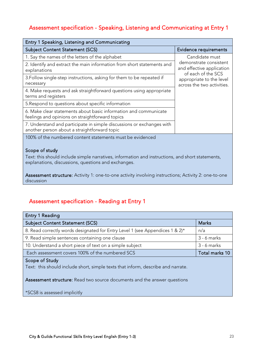### Assessment specification - Speaking, Listening and Communicating at Entry 1

| Entry 1 Speaking, Listening and Communicating                                                                         |                                                                           |
|-----------------------------------------------------------------------------------------------------------------------|---------------------------------------------------------------------------|
| <b>Subject Content Statement (SCS)</b>                                                                                | Evidence requirements                                                     |
| 1. Say the names of the letters of the alphabet                                                                       | Candidate must                                                            |
| 2. Identify and extract the main information from short statements and<br>explanations                                | demonstrate consistent<br>and effective application<br>of each of the SCS |
| 3. Follow single-step instructions, asking for them to be repeated if<br>necessary                                    | appropriate to the level<br>across the two activities.                    |
| 4. Make requests and ask straightforward questions using appropriate<br>terms and registers                           |                                                                           |
| 5. Respond to questions about specific information                                                                    |                                                                           |
| 6. Make clear statements about basic information and communicate<br>feelings and opinions on straightforward topics   |                                                                           |
| 7. Understand and participate in simple discussions or exchanges with<br>another person about a straightforward topic |                                                                           |
| 100% of the numbered content statements must be evidenced                                                             |                                                                           |

#### Scope of study

Text: this should include simple narratives, information and instructions, and short statements, explanations, discussions, questions and exchanges.

Assessment structure: Activity 1: one-to-one activity involving instructions; Activity 2: one-to-one discussion

### Assessment specification - Reading at Entry 1

| <b>Entry 1 Reading</b>                                                       |                |
|------------------------------------------------------------------------------|----------------|
| <b>Subject Content Statement (SCS)</b>                                       | <b>Marks</b>   |
| 8. Read correctly words designated for Entry Level 1 (see Appendices 1 & 2)* | n/a            |
| 9. Read simple sentences containing one clause                               | $3 - 6$ marks  |
| 10. Understand a short piece of text on a simple subject                     | $3 - 6$ marks  |
| Each assessment covers 100% of the numbered SCS                              | Total marks 10 |
| $C_{\text{name}} \sim L C_{\text{total}}$                                    |                |

#### Scope of Study

Text: this should include short, simple texts that inform, describe and narrate.

Assessment structure: Read two source documents and the answer questions

\*SCS8 is assessed implicitly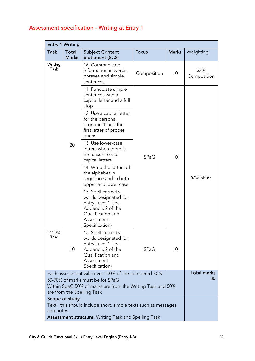## Assessment specification - Writing at Entry 1

| <b>Entry 1 Writing</b>                                                                   |                                                                           |                                                                                                                                             |             |              |                    |
|------------------------------------------------------------------------------------------|---------------------------------------------------------------------------|---------------------------------------------------------------------------------------------------------------------------------------------|-------------|--------------|--------------------|
| Task                                                                                     | Total                                                                     | <b>Subject Content</b>                                                                                                                      | Focus       | <b>Marks</b> | Weighting          |
|                                                                                          | <b>Marks</b>                                                              | Statement (SCS)                                                                                                                             |             |              |                    |
| Writing<br>Task                                                                          |                                                                           | 16. Communicate<br>information in words,<br>phrases and simple<br>sentences                                                                 | Composition | 10           | 33%<br>Composition |
|                                                                                          |                                                                           | 11. Punctuate simple<br>sentences with a<br>capital letter and a full<br>stop                                                               |             |              |                    |
|                                                                                          |                                                                           | 12. Use a capital letter<br>for the personal<br>pronoun 'I' and the<br>first letter of proper<br>nouns                                      |             |              |                    |
|                                                                                          | 20                                                                        | 13. Use lower-case<br>letters when there is<br>no reason to use<br>capital letters                                                          | SPaG        | 10           |                    |
|                                                                                          |                                                                           | 14. Write the letters of<br>the alphabet in<br>sequence and in both<br>upper and lower case                                                 |             |              | 67% SPaG           |
|                                                                                          |                                                                           | 15. Spell correctly<br>words designated for<br>Entry Level 1 (see<br>Appendix 2 of the<br>Qualification and<br>Assessment<br>Specification) |             |              |                    |
| Spelling<br>Task                                                                         | 10                                                                        | 15. Spell correctly<br>words designated for<br>Entry Level 1 (see<br>Appendix 2 of the<br>Qualification and<br>Assessment<br>Specification) | SPaG        | 10           |                    |
|                                                                                          | <b>Total marks</b><br>Each assessment will cover 100% of the numbered SCS |                                                                                                                                             |             |              |                    |
| 30<br>50-70% of marks must be for SPaG                                                   |                                                                           |                                                                                                                                             |             |              |                    |
| Within SpaG 50% of marks are from the Writing Task and 50%<br>are from the Spelling Task |                                                                           |                                                                                                                                             |             |              |                    |
| Scope of study                                                                           |                                                                           |                                                                                                                                             |             |              |                    |
| Text: this should include short, simple texts such as messages                           |                                                                           |                                                                                                                                             |             |              |                    |
| and notes.                                                                               |                                                                           |                                                                                                                                             |             |              |                    |
| Assessment structure: Writing Task and Spelling Task                                     |                                                                           |                                                                                                                                             |             |              |                    |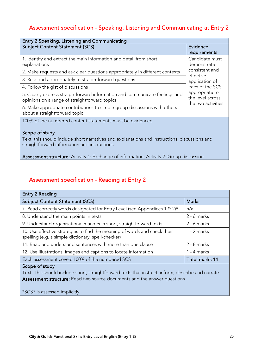## Assessment specification - Speaking, Listening and Communicating at Entry 2

| Entry 2 Speaking, Listening and Communicating                                                                                                                   |                                                                                                             |  |  |  |
|-----------------------------------------------------------------------------------------------------------------------------------------------------------------|-------------------------------------------------------------------------------------------------------------|--|--|--|
| <b>Subject Content Statement (SCS)</b>                                                                                                                          | Evidence<br>requirements                                                                                    |  |  |  |
| Candidate must<br>1. Identify and extract the main information and detail from short<br>explanations<br>demonstrate                                             |                                                                                                             |  |  |  |
| 2. Make requests and ask clear questions appropriately in different contexts                                                                                    | consistent and                                                                                              |  |  |  |
| 3. Respond appropriately to straightforward questions                                                                                                           | effective<br>application of<br>each of the SCS<br>appropriate to<br>the level across<br>the two activities. |  |  |  |
| 4. Follow the gist of discussions                                                                                                                               |                                                                                                             |  |  |  |
| 5. Clearly express straightforward information and communicate feelings and<br>opinions on a range of straightforward topics                                    |                                                                                                             |  |  |  |
| 6. Make appropriate contributions to simple group discussions with others<br>about a straightforward topic                                                      |                                                                                                             |  |  |  |
| 100% of the numbered content statements must be evidenced                                                                                                       |                                                                                                             |  |  |  |
| Scope of study<br>Text: this should include short narratives and explanations and instructions, discussions and<br>straightforward information and instructions |                                                                                                             |  |  |  |
| <b>Assessment structure:</b> Activity 1: Exchange of information; Activity 2: Group discussion                                                                  |                                                                                                             |  |  |  |

### Assessment specification - Reading at Entry 2

| Entry 2 Reading                                                                                                                 |                |
|---------------------------------------------------------------------------------------------------------------------------------|----------------|
| <b>Subject Content Statement (SCS)</b>                                                                                          | <b>Marks</b>   |
| 7. Read correctly words designated for Entry Level (see Appendices 1 & 2)*                                                      | n/a            |
| 8. Understand the main points in texts                                                                                          | $2 - 6$ marks  |
| 9. Understand organisational markers in short, straightforward texts                                                            | $2 - 6$ marks  |
| 10. Use effective strategies to find the meaning of words and check their<br>spelling (e.g. a simple dictionary, spell-checker) | 1 - 2 marks    |
| 11. Read and understand sentences with more than one clause                                                                     | $2 - 8$ marks  |
| 12. Use illustrations, images and captions to locate information                                                                | $1 - 4$ marks  |
| Each assessment covers 100% of the numbered SCS                                                                                 | Total marks 14 |

#### Scope of study

Text: this should include short, straightforward texts that instruct, inform, describe and narrate. Assessment structure: Read two source documents and the answer questions

\*SCS7 is assessed implicitly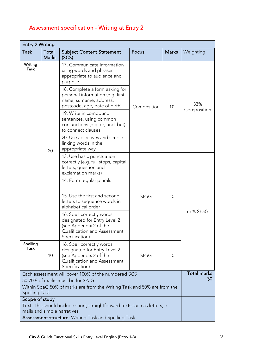| Assessment specification - Writing at Entry 2 |  |  |
|-----------------------------------------------|--|--|
|                                               |  |  |

| <b>Entry 2 Writing</b>                                                                                                                    |                                                                                                            |                                                                                                                                                                                                                                    |             |    |                    |
|-------------------------------------------------------------------------------------------------------------------------------------------|------------------------------------------------------------------------------------------------------------|------------------------------------------------------------------------------------------------------------------------------------------------------------------------------------------------------------------------------------|-------------|----|--------------------|
| <b>Task</b>                                                                                                                               | Total                                                                                                      | <b>Marks</b><br><b>Subject Content Statement</b><br>Focus                                                                                                                                                                          |             |    |                    |
|                                                                                                                                           | <b>Marks</b>                                                                                               | (SCS)                                                                                                                                                                                                                              |             |    |                    |
| Writing<br>Task                                                                                                                           |                                                                                                            | 17. Communicate information<br>using words and phrases<br>appropriate to audience and<br>purpose<br>18. Complete a form asking for<br>personal information (e.g. first<br>name, surname, address,<br>postcode, age, date of birth) | Composition | 10 | 33%                |
|                                                                                                                                           |                                                                                                            | 19. Write in compound<br>sentences, using common<br>conjunctions (e.g. or, and, but)<br>to connect clauses                                                                                                                         |             |    | Composition        |
|                                                                                                                                           | 20                                                                                                         | 20. Use adjectives and simple<br>linking words in the<br>appropriate way                                                                                                                                                           |             |    |                    |
|                                                                                                                                           |                                                                                                            | 13. Use basic punctuation<br>correctly (e.g. full stops, capital<br>letters, question and<br>exclamation marks)                                                                                                                    |             | 10 |                    |
|                                                                                                                                           |                                                                                                            | 14. Form regular plurals                                                                                                                                                                                                           |             |    |                    |
|                                                                                                                                           |                                                                                                            | 15. Use the first and second<br>letters to sequence words in<br>alphabetical order                                                                                                                                                 | SPaG        |    |                    |
|                                                                                                                                           |                                                                                                            | 16. Spell correctly words<br>designated for Entry Level 2<br>(see Appendix 2 of the<br>Qualification and Assessment<br>Specification)                                                                                              |             |    | 67% SPaG           |
| Spelling<br>Task                                                                                                                          | 10                                                                                                         | 16. Spell correctly words<br>designated for Entry Level 2<br>(see Appendix 2 of the<br>SPaG<br>Qualification and Assessment<br>Specification)                                                                                      |             | 10 |                    |
|                                                                                                                                           |                                                                                                            | Each assessment will cover 100% of the numbered SCS                                                                                                                                                                                |             |    | <b>Total marks</b> |
| 30<br>50-70% of marks must be for SPaG<br>Within SpaG 50% of marks are from the Writing Task and 50% are from the<br><b>Spelling Task</b> |                                                                                                            |                                                                                                                                                                                                                                    |             |    |                    |
| Scope of study                                                                                                                            |                                                                                                            |                                                                                                                                                                                                                                    |             |    |                    |
|                                                                                                                                           | Text: this should include short, straightforward texts such as letters, e-<br>mails and simple narratives. |                                                                                                                                                                                                                                    |             |    |                    |
| <b>Assessment structure:</b> Writing Task and Spelling Task                                                                               |                                                                                                            |                                                                                                                                                                                                                                    |             |    |                    |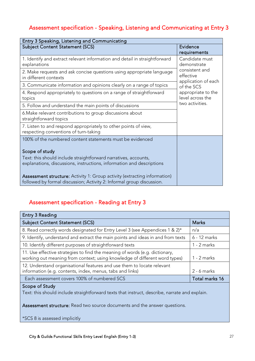## Assessment specification - Speaking, Listening and Communicating at Entry 3

| Entry 3 Speaking, Listening and Communicating                                                                                                             |                                                    |
|-----------------------------------------------------------------------------------------------------------------------------------------------------------|----------------------------------------------------|
| <b>Subject Content Statement (SCS)</b>                                                                                                                    | Evidence                                           |
|                                                                                                                                                           | requirements                                       |
| 1. Identify and extract relevant information and detail in straightforward<br>explanations                                                                | Candidate must<br>demonstrate                      |
| 2. Make requests and ask concise questions using appropriate language<br>in different contexts                                                            | consistent and<br>effective<br>application of each |
| 3. Communicate information and opinions clearly on a range of topics                                                                                      | of the SCS                                         |
| 4. Respond appropriately to questions on a range of straightforward<br>topics                                                                             | appropriate to the<br>level across the             |
| 5. Follow and understand the main points of discussions                                                                                                   | two activities.                                    |
| 6. Make relevant contributions to group discussions about<br>straightforward topics                                                                       |                                                    |
| 7. Listen to and respond appropriately to other points of view,<br>respecting conventions of turn-taking                                                  |                                                    |
| 100% of the numbered content statements must be evidenced                                                                                                 |                                                    |
| Scope of study                                                                                                                                            |                                                    |
| Text: this should include straightforward narratives, accounts,<br>explanations, discussions, instructions, information and descriptions                  |                                                    |
| <b>Assessment structure:</b> Activity 1: Group activity (extracting information)<br>followed by formal discussion; Activity 2: Informal group discussion. |                                                    |

### Assessment specification - Reading at Entry 3

| Entry 3 Reading                                                                                                                                           |                |
|-----------------------------------------------------------------------------------------------------------------------------------------------------------|----------------|
| <b>Subject Content Statement (SCS)</b>                                                                                                                    | <b>Marks</b>   |
| 8. Read correctly words designated for Entry Level 3 (see Appendices 1 & 2)*                                                                              | n/a            |
| 9. Identify, understand and extract the main points and ideas in and from texts                                                                           | 6 - 12 marks   |
| 10. Identify different purposes of straightforward texts                                                                                                  | $1 - 2$ marks  |
| 11. Use effective strategies to find the meaning of words (e.g. dictionary,<br>working out meaning from context; using knowledge of different word types) | 1 - 2 marks    |
| 12. Understand organisational features and use them to locate relevant<br>information (e.g. contents, index, menus, tabs and links)                       | $2 - 6$ marks  |
| Each assessment covers 100% of numbered SCS                                                                                                               | Total marks 16 |

#### Scope of Study

Text: this should include straightforward texts that instruct, describe, narrate and explain.

Assessment structure: Read two source documents and the answer questions.

\*SCS 8 is assessed implicitly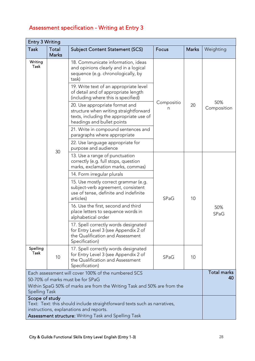## Assessment specification - Writing at Entry 3

| <b>Entry 3 Writing</b>                                                                                                                 |                                                                                                                                     |                                                                                                                                                                      |                       |              |                          |
|----------------------------------------------------------------------------------------------------------------------------------------|-------------------------------------------------------------------------------------------------------------------------------------|----------------------------------------------------------------------------------------------------------------------------------------------------------------------|-----------------------|--------------|--------------------------|
| <b>Task</b>                                                                                                                            | Total<br><b>Marks</b>                                                                                                               | <b>Subject Content Statement (SCS)</b>                                                                                                                               | Focus                 | <b>Marks</b> | Weighting                |
| Writing<br>Task                                                                                                                        |                                                                                                                                     | 18. Communicate information, ideas<br>and opinions clearly and in a logical<br>sequence (e.g. chronologically, by<br>task)<br>19. Write text of an appropriate level |                       |              |                          |
|                                                                                                                                        |                                                                                                                                     | of detail and of appropriate length<br>(including where this is specified)                                                                                           |                       |              |                          |
|                                                                                                                                        |                                                                                                                                     | 20. Use appropriate format and<br>structure when writing straightforward<br>texts, including the appropriate use of<br>headings and bullet points                    | Compositio<br>20<br>n |              | 50%<br>Composition       |
|                                                                                                                                        |                                                                                                                                     | 21. Write in compound sentences and<br>paragraphs where appropriate                                                                                                  |                       |              |                          |
|                                                                                                                                        | 30                                                                                                                                  | 22. Use language appropriate for<br>purpose and audience                                                                                                             |                       |              |                          |
|                                                                                                                                        |                                                                                                                                     | 13. Use a range of punctuation<br>correctly (e.g. full stops, question<br>marks, exclamation marks, commas)                                                          |                       |              |                          |
|                                                                                                                                        |                                                                                                                                     | 14. Form irregular plurals                                                                                                                                           |                       |              |                          |
|                                                                                                                                        |                                                                                                                                     | 15. Use mostly correct grammar (e.g.<br>subject-verb agreement, consistent<br>use of tense, definite and indefinite<br>articles)                                     | SPaG                  | 10           |                          |
|                                                                                                                                        |                                                                                                                                     | 16. Use the first, second and third<br>place letters to sequence words in<br>alphabetical order                                                                      |                       |              | 50%<br>SPaG              |
|                                                                                                                                        |                                                                                                                                     | 17. Spell correctly words designated<br>for Entry Level 3 (see Appendix 2 of<br>the Qualification and Assessment<br>Specification)                                   |                       |              |                          |
| Spelling<br>Task                                                                                                                       | 10                                                                                                                                  | 17. Spell correctly words designated<br>for Entry Level 3 (see Appendix 2 of<br>the Qualification and Assessment<br>Specification)                                   | SPaG                  | 10           |                          |
|                                                                                                                                        |                                                                                                                                     | Each assessment will cover 100% of the numbered SCS                                                                                                                  |                       |              | <b>Total marks</b><br>40 |
|                                                                                                                                        | 50-70% of marks must be for SPaG<br>Within SpaG 50% of marks are from the Writing Task and 50% are from the<br><b>Spelling Task</b> |                                                                                                                                                                      |                       |              |                          |
| Scope of study<br>Text: Text: this should include straightforward texts such as narratives,<br>instructions, explanations and reports. |                                                                                                                                     |                                                                                                                                                                      |                       |              |                          |
|                                                                                                                                        | Assessment structure: Writing Task and Spelling Task                                                                                |                                                                                                                                                                      |                       |              |                          |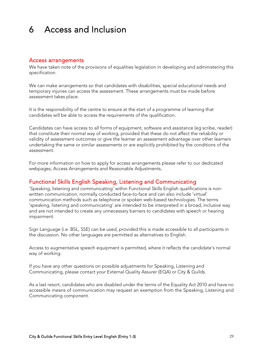## <span id="page-28-0"></span>6 Access and Inclusion

#### Access arrangements

We have taken note of the provisions of equalities legislation in developing and administering this specification.

We can make arrangements so that candidates with disabilities, special educational needs and temporary injuries can access the assessment. These arrangements must be made before assessment takes place.

It is the responsibility of the centre to ensure at the start of a programme of learning that candidates will be able to access the requirements of the qualification.

Candidates can have access to all forms of equipment, software and assistance (eg scribe, reader) that constitute their normal way of working, provided that these do not affect the reliability or validity of assessment outcomes or give the learner an assessment advantage over other learners undertaking the same or similar assessments or are explicitly prohibited by the conditions of the assessment.

For more information on how to apply for access arrangements please refer to our dedicated webpages, Access Arrangements [and Reasonable Adjustments.](https://www.cityandguilds.com/delivering-our-qualifications/centre-development/centre-document-library/policies-and-procedures/access-arrangements-reasonable-adjustments)

#### Functional Skills English Speaking, Listening and Communicating

'Speaking, listening and communicating' within Functional Skills English qualifications is nonwritten communication, normally conducted face-to-face and can also include 'virtual' communication methods such as telephone or spoken web-based technologies. The terms 'speaking, listening and communicating' are intended to be interpreted in a broad, inclusive way and are not intended to create any unnecessary barriers to candidates with speech or hearing impairment.

Sign Language (i.e. BSL, SSE) can be used, provided this is made accessible to all participants in the discussion. No other languages are permitted as alternatives to English.

Access to augmentative speech equipment is permitted, where it reflects the candidate's normal way of working.

If you have any other questions on possible adjustments for Speaking, Listening and Communicating, please contact your External Quality Assurer (EQA) or City & Guilds.

As a last resort, candidates who are disabled under the terms of the Equality Act 2010 and have no accessible means of communication may request an exemption from the Speaking, Listening and Communicating component.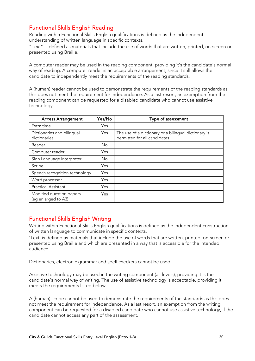#### Functional Skills English Reading

Reading within Functional Skills English qualifications is defined as the independent understanding of written language in specific contexts.

"Text" is defined as materials that include the use of words that are written, printed, on-screen or presented using Braille.

A computer reader may be used in the reading component, providing it's the candidate's normal way of reading. A computer reader is an acceptable arrangement, since it still allows the candidate to independently meet the requirements of the reading standards.

A (human) reader cannot be used to demonstrate the requirements of the reading standards as this does not meet the requirement for independence. As a last resort, an exemption from the reading component can be requested for a disabled candidate who cannot use assistive technology.

| <b>Access Arrangement</b>                       | Yes/No     | Type of assessment                                                                    |
|-------------------------------------------------|------------|---------------------------------------------------------------------------------------|
| Extra time                                      | Yes        |                                                                                       |
| Dictionaries and bilingual<br>dictionaries      | <b>Yes</b> | The use of a dictionary or a bilingual dictionary is<br>permitted for all candidates. |
| Reader                                          | <b>No</b>  |                                                                                       |
| Computer reader                                 | Yes        |                                                                                       |
| Sign Language Interpreter                       | <b>No</b>  |                                                                                       |
| Scribe                                          | Yes        |                                                                                       |
| Speech recognition technology                   | Yes        |                                                                                       |
| Word processor                                  | Yes        |                                                                                       |
| <b>Practical Assistant</b>                      | Yes        |                                                                                       |
| Modified question papers<br>(eg enlarged to A3) | Yes        |                                                                                       |

#### Functional Skills English Writing

Writing within Functional Skills English qualifications is defined as the independent construction of written language to communicate in specific contexts.

'Text' is defined as materials that include the use of words that are written, printed, on-screen or presented using Braille and which are presented in a way that is accessible for the intended audience.

Dictionaries, electronic grammar and spell checkers cannot be used.

Assistive technology may be used in the writing component (all levels), providing it is the candidate's normal way of writing. The use of assistive technology is acceptable, providing it meets the requirements listed below.

A (human) scribe cannot be used to demonstrate the requirements of the standards as this does not meet the requirement for independence. As a last resort, an exemption from the writing component can be requested for a disabled candidate who cannot use assistive technology, if the candidate cannot access any part of the assessment.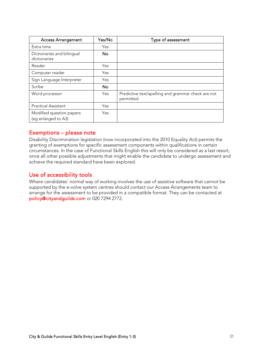| <b>Access Arrangement</b>                       | Yes/No    | Type of assessment                                              |
|-------------------------------------------------|-----------|-----------------------------------------------------------------|
| Extra time                                      | Yes       |                                                                 |
| Dictionaries and bilingual<br>dictionaries      | No.       |                                                                 |
| Reader                                          | Yes       |                                                                 |
| Computer reader                                 | Yes       |                                                                 |
| Sign Language Interpreter                       | Yes       |                                                                 |
| Scribe                                          | <b>No</b> |                                                                 |
| Word processor                                  | Yes       | Predictive text/spelling and grammar check are not<br>permitted |
| <b>Practical Assistant</b>                      | Yes       |                                                                 |
| Modified question papers<br>(eq enlarged to A3) | Yes       |                                                                 |

#### Exemptions – please note

Disability Discrimination legislation (now incorporated into the 2010 Equality Act) permits the granting of exemptions for specific assessment components within qualifications in certain circumstances. In the case of Functional Skills English this will only be considered as a last resort, once all other possible adjustments that might enable the candidate to undergo assessment and achieve the required standard have been explored.

#### Use of accessibility tools

Where candidates' normal way of working involves the use of assistive software that cannot be supported by the e-volve system centres should contact our Access Arrangements team to arrange for the assessment to be provided in a compatible format. They can be contacted at [policy@cityandguilds.com](mailto:policy@cityandguilds.com) or 020 7294 2772.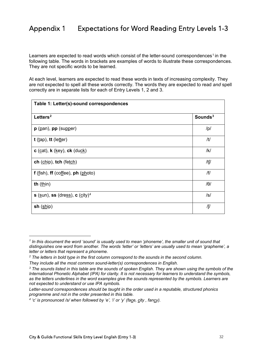<span id="page-31-0"></span>Learners are expected to read words which consist of the letter-sound correspondences<sup>[1](#page-31-1)</sup> in the following table. The words in brackets are examples of words to illustrate these correspondences. They are not specific words to be learned.

At each level, learners are expected to read these words in texts of increasing complexity. They are not expected to spell all these words correctly. The words they are expected to read *and* spell correctly are in separate lists for each of Entry Levels 1, 2 and 3.

| Table 1: Letter(s)-sound correspondences |            |
|------------------------------------------|------------|
| Letters <sup>2</sup>                     | Sounds $3$ |
| $p$ ( $pan$ ), $pp$ (supper)             | /p/        |
| $t$ (tap), tt (letter)                   | /t/        |
| $c$ (cat), $k$ (key), $ck$ (duck)        | /k/        |
| ch $(chip)$ , tch $(fetch)$              | /tʃ/       |
| $f$ (fish), $ff$ (coffee), $ph$ (photo)  | /f/        |
| th $(\underline{thin})$                  | $/ \theta$ |
| s $(sun)$ , ss (dress), c $(city)^4$     | /s/        |
| sh $(\underline{\text{ship}})$           | /ʃ/        |

<span id="page-31-1"></span>*<sup>1</sup> In this document the word 'sound' is usually used to mean 'phoneme', the smaller unit of sound that distinguishes one word from another. The words 'letter' or 'letters' are usually used to mean 'grapheme', a letter or letters that represent a phoneme.*

<span id="page-31-2"></span>*<sup>2</sup> The letters in bold type in the first column correspond to the sounds in the second column.* 

*They include all the most common sound-letter(s) correspondences in English.*

<span id="page-31-3"></span>*<sup>3</sup> The sounds listed in this table are the sounds of spoken English. They are shown using the symbols of the International Phonetic Alphabet (IPA) for clarity. It is not necessary for learners to understand the symbols, as the letters underlines in the word examples give the sounds represented by the symbols. Learners are not expected to understand or use IPA symbols.*

*Letter-sound correspondences should be taught in the order used in a reputable, structured phonics programme and not in the order presented in this table.*

<span id="page-31-4"></span>*<sup>4</sup> 'c' is pronounced /s/ when followed by 'e', 'i' or 'y' (face, city , fancy).*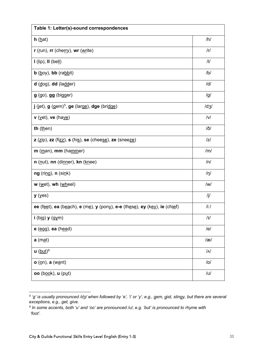| Table 1: Letter(s)-sound correspondences                                                                                                                                                |            |  |
|-----------------------------------------------------------------------------------------------------------------------------------------------------------------------------------------|------------|--|
| $h(\underline{hat})$                                                                                                                                                                    | /h/        |  |
| $\mathbf{r}$ (run), $\mathbf{r}$ (cherry), wr (write)                                                                                                                                   | /r/        |  |
| $I$ (lip), $II$ (bell)                                                                                                                                                                  | /          |  |
| $b$ (boy), bb (rabbit)                                                                                                                                                                  | /b/        |  |
| $d$ (dog), $dd$ (ladder)                                                                                                                                                                | /d/        |  |
| $g$ (go), $gg$ (bigger)                                                                                                                                                                 | /g/        |  |
| $j$ (jet), $g$ (gem) <sup>5</sup> , ge (large), dge (bridge)                                                                                                                            | /dz/       |  |
| $\mathbf v$ (vet), ve (have)                                                                                                                                                            | V          |  |
| th $(\underline{then})$                                                                                                                                                                 | $/$ ð/     |  |
| $\mathsf{z}$ ( $\underline{\mathsf{zip}}$ ), $\mathsf{zz}$ (fi $\underline{\mathsf{zz}}$ ), $\mathsf{s}$ (his), $\mathsf{se}$ (cheese), $\mathsf{ze}$ (snee $\underline{\mathsf{ze}}$ ) | z          |  |
| $m$ (man), mm (hammer)                                                                                                                                                                  | /m/        |  |
| n (nut), nn (dinner), kn (knee)                                                                                                                                                         | /n/        |  |
| $ng$ (ring), $n$ (sink)                                                                                                                                                                 | $/ \eta /$ |  |
| $w$ ( $w$ et), wh ( $w$ heel)                                                                                                                                                           | /w/        |  |
| $y$ (yes)                                                                                                                                                                               | /j/        |  |
| ee (feet), ea (beach), e (me), y (pony), e-e (these), ey (key), ie (chief)                                                                                                              | $/$ i:/    |  |
| $i$ (big) $y$ (gym)                                                                                                                                                                     | /I         |  |
| e (egg), ea (head)                                                                                                                                                                      | /el        |  |
| $a$ (mat)                                                                                                                                                                               | /æ/        |  |
| $u$ (but) <sup>6</sup>                                                                                                                                                                  | $\sqrt{2}$ |  |
| $o$ (on), a (want)                                                                                                                                                                      | /ol        |  |
| oo (b <u>ook</u> ), u (p <u>u</u> t)                                                                                                                                                    | /ช/        |  |

<span id="page-32-0"></span>*<sup>5</sup> 'g' is usually pronounced /dʒ/ when followed by 'e', 'i' or 'y', e.g., gem, gist, stingy, but there are several exceptions, e.g., get, give.*

<span id="page-32-1"></span>*<sup>6</sup> In some accents, both 'u' and 'oo' are pronounced /ʊ/, e.g. 'but' is pronounced to rhyme with 'foot'.*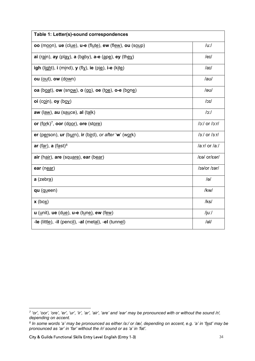| Table 1: Letter(s)-sound correspondences                            |                    |  |
|---------------------------------------------------------------------|--------------------|--|
| oo (moon), ue (clue), u-e (flute), ew (flew), ou (soup)             | $/u$ :/            |  |
| ai (rain), ay (play), a (baby), a-e $(\underline{ape})$ , ey (they) | $/$ er $/$         |  |
| igh (light), $i$ (mind), $y$ (fl $y$ ), ie (pie), i-e (kite)        | /ai/               |  |
| ou $(\underline{\text{out}})$ , ow $(\underline{\text{down}})$      | /aʊ/               |  |
| oa (boat), ow (snow), o (go), oe (toe), o-e (bone)                  | /ອບ/               |  |
| oi (coin), oy (boy)                                                 | $J$ וכ/            |  |
| $aw$ (l <u>aw</u> ), $au$ (sauce), $al$ (talk)                      | 0:                 |  |
| or $(fork)7$ , oor $(door)$ , ore $(store)$                         | $ o $ or $ o $ :r/ |  |
| er (person), ur (burn), ir (bird), or after 'w' (work)              | $3$ :/ or $3$ :r/  |  |
| ar (far), a (fast) <sup>8</sup>                                     | /a:r/ or /a:/      |  |
| air (hair), are (square), ear (bear)                                | /rea/or/ear/       |  |
| ear (near)                                                          | $/1$ ier/or/ $/1$  |  |
| a (zebr <u>a</u> )                                                  | /ə/                |  |
| qu (queen)                                                          | /kw/               |  |
| x (box)                                                             | $ $ ks $ $         |  |
| $u$ ( <i>unit</i> ), ue (d <u>ue),</u> u-e (tune), ew (few)         | /juː/              |  |
| -le (little), -il (pencil), -al (metal), -el (tunnel)               | $/$ əl/            |  |

<span id="page-33-0"></span>*<sup>7</sup> 'or', 'oor', 'ore', 'er', 'ur', 'ir', 'ar', 'air', 'are' and 'ear' may be pronounced with or without the sound /r/, depending on accent.*

<span id="page-33-1"></span>*<sup>8</sup> In some words 'a' may be pronounced as either /a:/ or /æ/, depending on accent, e.g. 'a' in 'fast' may be pronounced as 'ar' in 'far' without the /r/ sound or as 'a' in 'fat'.*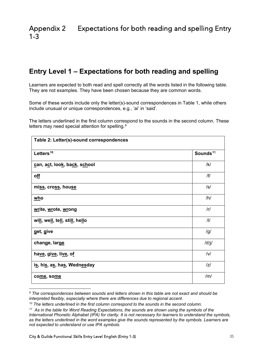## <span id="page-34-0"></span>**Entry Level 1 – Expectations for both reading and spelling**

Learners are expected to both read and spell correctly all the words listed in the following table. They are not examples. They have been chosen because they are common words.

Some of these words include only the letter(s)-sound correspondences in Table 1, while others include unusual or unique correspondences, e.g., 'ai' in 'said'.

The letters underlined in the first column correspond to the sounds in the second column. These letters may need special attention for spelling.<sup>[9](#page-34-1)</sup>

| Table 2: Letter(s)-sound correspondences                                   |                      |
|----------------------------------------------------------------------------|----------------------|
| Letters <sup>10</sup>                                                      | Sounds <sup>11</sup> |
| can, act, look, back, school                                               | /k/                  |
| off                                                                        | /f/                  |
| miss, cross, house                                                         | $\sqrt{s}$           |
| $\underline{\text{who}}$                                                   | /h/                  |
| write, wrote, wrong                                                        | /r/                  |
| wi <u>ll,</u> we <u>ll</u> , te <u>ll</u> , sti <u>ll</u> , he <u>ll</u> o | /l/                  |
| get, give                                                                  | /g/                  |
| change, large                                                              | /dz/                 |
| have, give, live, of                                                       | v                    |
| is, his, as, has, Wednesday                                                | z                    |
| come, some                                                                 | /m/                  |

<span id="page-34-1"></span>*<sup>9</sup> The correspondences between sounds and letters shown in this table are not exact and should be interpreted flexibly, especially where there are differences due to regional accent.*

<span id="page-34-2"></span>*<sup>10</sup> The letters underlined in the first column correspond to the sounds in the second column.*

<span id="page-34-3"></span>*<sup>11</sup> As in the table for Word Reading Expectations, the sounds are shown using the symbols of the International Phonetic Alphabet (IPA) for clarity. It is not necessary for learners to understand the symbols, as the letters underlined in the word examples give the sounds represented by the symbols. Learners are not expected to understand or use IPA symbols.*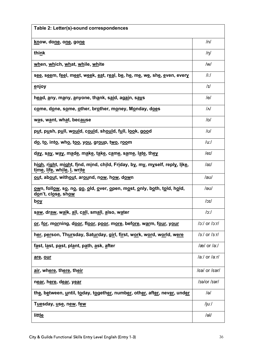| Table 2: Letter(s)-sound correspondences                                                                                                                                        |                                    |
|---------------------------------------------------------------------------------------------------------------------------------------------------------------------------------|------------------------------------|
| know, done, one, gone                                                                                                                                                           | /n/                                |
| think                                                                                                                                                                           | /n/                                |
| when, which, what, while, white                                                                                                                                                 | $\mathsf{I} \mathsf{w} \mathsf{I}$ |
| s <u>ee</u> , s <u>ee</u> m, f <u>ee</u> l, m <u>ee</u> t, w <u>ee</u> k, <u>ea</u> t, r <u>ea</u> l, b <u>e,</u> h <u>e,</u> m <u>e,</u> w <u>e,</u> sh <u>e, e</u> ven, every | $/$ i:/                            |
| <u>e</u> njoy                                                                                                                                                                   | I                                  |
| head, any, many, anyone, thank, said, again, says                                                                                                                               | /e/                                |
| come, done, some, other, brother, money, Monday, does                                                                                                                           | $\overline{M}$                     |
| was, want, what, because                                                                                                                                                        | D                                  |
| put, push, pull, would, could, should, full, look, good                                                                                                                         | /ช/                                |
| do, to, into, who, too, you, group, two, room                                                                                                                                   | $/u$ :/                            |
| d <u>ay,</u> say, way, made, make, take, came, same, late, they                                                                                                                 | $/$ eɪ $/$                         |
| high, right, might, find, mind, child, Friday, by, my, myself, reply, like,<br>time, life, while, I, write                                                                      | /au/                               |
| out, about, without, around, now, how, down                                                                                                                                     | /aʊ/                               |
| <u>ow</u> n, foll <u>ow, so, no, go, o</u> ld, <u>o</u> ver, <u>o</u> pen, most, only, both, told, hold,<br>don't, close, show                                                  | /ອບ/                               |
| <u>boy</u>                                                                                                                                                                      | $ I\text{C}\rangle$                |
| s <u>aw,</u> dr <u>aw,</u> w <u>al</u> k, <u>al</u> l, c <u>al</u> l, sm <u>al</u> l, <u>a</u> lso, w <u>a</u> ter                                                              | o:                                 |
| or, for, morning, door, floor, poor, more, before, warm, four, your                                                                                                             | $/c$ : or $/c$ : r/                |
| her, person, Thursday, Saturday, girl, first, work, word, world, were                                                                                                           | $/3$ :/ or $/3$ :r/                |
| f <u>a</u> st, last, past, plant, path, ask, after                                                                                                                              | /æ/ or /a:/                        |
| are, our                                                                                                                                                                        | /a:/ or /a:r/                      |
| air, where, there, their                                                                                                                                                        | /real or /ear/                     |
| near, here, dear, year                                                                                                                                                          | $/ieI/$ or $/FeI/$                 |
| the, between, until, today, together, number, other, after, never, under                                                                                                        | /ə/                                |
| T <u>ue</u> sday, <u>use,</u> n <u>ew</u> , few                                                                                                                                 | /juː/                              |
| little                                                                                                                                                                          | $/$ əl/                            |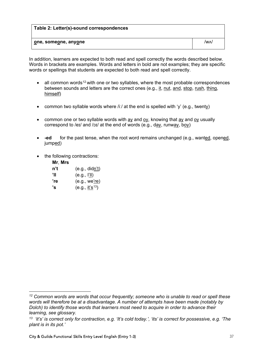| Table 2: Letter(s)-sound correspondences |      |
|------------------------------------------|------|
| one, someone, anyone                     | /wʌ/ |

In addition, learners are expected to both read and spell correctly the words described below. Words in brackets are examples. Words and letters in bold are not examples; they are specific words or spellings that students are expected to both read and spell correctly.

- all common words<sup>[12](#page-36-0)</sup> with one or two syllables, where the most probable correspondences between sounds and letters are the correct ones (e.g., it, nut, and, stop, rush, thing, himself)
- common two syllable words where  $/ii/$  at the end is spelled with 'y' (e.g., twenty)
- common one or two syllable words with  $\frac{ay}{ay}$  and  $\frac{oy}{ay}$ , knowing that  $\frac{ay}{ay}$  and  $\frac{oy}{ay}$  usually correspond to /eɪ/ and /ɔɪ/ at the end of words (e.g., day, runway, boy)
- **-ed** for the past tense, when the root word remains unchanged (e.g., wanted, opened, jumped)
- the following contractions:

| Mr, Mrs |                                    |
|---------|------------------------------------|
| n't     | (e.g., did <u>n't</u> )            |
| 'II     | (e.g., I'll)                       |
| 're     | (e.g., we're)                      |
| 's      | (e.g., <u>it's</u> <sup>13</sup> ) |

<span id="page-36-0"></span>*<sup>12</sup> Common words are words that occur frequently; someone who is unable to read or spell these words will therefore be at a disadvantage. A number of attempts have been made (notably by Dolch) to identify those words that learners most need to acquire in order to advance their learning, see glossary.*

<span id="page-36-1"></span>*<sup>13 &#</sup>x27;it's' is correct only for contraction, e.g. 'It's cold today.', 'its' is correct for possessive, e.g. 'The plant is in its pot.'*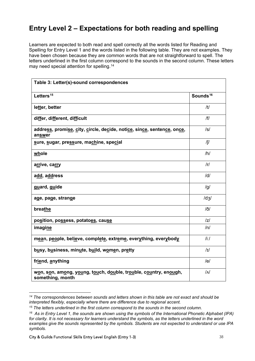## **Entry Level 2 – Expectations for both reading and spelling**

Learners are expected to both read and spell correctly all the words listed for Reading and Spelling for Entry Level 1 and the words listed in the following table. They are not examples. They have been chosen because they are common words that are not straightforward to spell. The letters underlined in the first column correspond to the sounds in the second column. These letters may need special attention for spelling.<sup>[14](#page-37-0)</sup>

| Table 3: Letter(s)-sound correspondences                                             |                      |
|--------------------------------------------------------------------------------------|----------------------|
| Letters <sup>15</sup>                                                                | Sounds <sup>16</sup> |
| letter, better                                                                       | /t/                  |
| differ, different, difficult                                                         | / f /                |
| address, promise, city, circle, decide, notice, since, sentence, once,<br>answer     | $\sqrt{s}$           |
| sure, sugar, pressure, machine, special                                              | /[/                  |
| whole                                                                                | /h/                  |
| a <u>rr</u> ive, carry                                                               | r                    |
| add, address                                                                         | /d/                  |
| guard, guide                                                                         | /g/                  |
| age, page, strange                                                                   | /dz/                 |
| breathe                                                                              | $/$ ð/               |
| po <u>s</u> ition, po <u>ss</u> ess, potato <u>es</u> , cau <u>se</u>                | z                    |
| imagine                                                                              | /n/                  |
| mean, people, believe, complete, extreme, everything, everybody                      | $/ii$ :/             |
| busy, business, minute, build, women, pretty                                         | I                    |
| friend, anything                                                                     | /e/                  |
| won, son, among, young, touch, double, trouble, country, enough,<br>something, month | $\overline{M}$       |

<span id="page-37-0"></span>*<sup>14</sup> The correspondences between sounds and letters shown in this table are not exact and should be interpreted flexibly, especially where there are difference due to regional accent.*

<span id="page-37-1"></span>*<sup>15</sup> The letters underlined in the first column correspond to the sounds in the second column.*

<span id="page-37-2"></span>*<sup>16</sup> As in Entry Level 1, the sounds are shown using the symbols of the International Phonetic Alphabet (IPA) for clarity. It is not necessary for learners understand the symbols, as the letters underlined in the word examples give the sounds represented by the symbols. Students are not expected to understand or use IPA symbols.*

City & Guilds Functional Skills Entry Level English (Entry 1-3) 38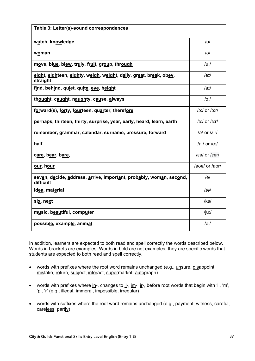| Table 3: Letter(s)-sound correspondences                                         |                          |
|----------------------------------------------------------------------------------|--------------------------|
| watch, knowledge                                                                 | /ol                      |
| woman                                                                            | /ช/                      |
| move, blue, blew, truly, fruit, group, through                                   | $/$ u:/                  |
| eight, eighteen, eighty, weigh, weight, daily, great, break, obey,<br>straight   | $/$ er $/$               |
| find, behind, quiet, quite, eve, height                                          | /ai/                     |
| thought, caught, naughty, cause, always                                          | o:                       |
| forward(s), forty, fourteen, quarter, therefore                                  | $ o:1$ or $ o:1$         |
| perhaps, thirteen, thirty, surprise, year, early, heard, learn, earth            | $3/$ or $3r/$            |
| remember, grammar, calendar, surname, pressure, forward                          | /a/ or $/3$ :r/          |
| h <u>al</u> f                                                                    | $/ax/$ or $/ax/$         |
| care, bear, bare,                                                                | $\sqrt{2}$ or $\sqrt{2}$ |
| our, hour                                                                        | lauel or laurl           |
| seven, decide, address, arrive, important, probably, woman, second,<br>difficult | $\overline{\theta}$      |
| idea, material                                                                   | $I$ iəl                  |
| six, next                                                                        | /ks/                     |
| music, beautiful, computer                                                       | /juː/                    |
| possible, example, animal                                                        | a                        |

In addition, learners are expected to both read and spell correctly the words described below. Words in brackets are examples. Words in bold are not examples; they are specific words that students are expected to both read and spell correctly.

- words with prefixes where the root word remains unchanged (e.g., unsure, disappoint, mistake, return, subject, interact, supermarket, autograph)
- words with prefixes where in-, changes to il-, im-, ir-, before root words that begin with 'l', 'm', 'p', 'r' (e.g., illegal, immoral, impossible, irregular)
- words with suffixes where the root word remains unchanged (e.g., payment, witness, careful, careless, partly)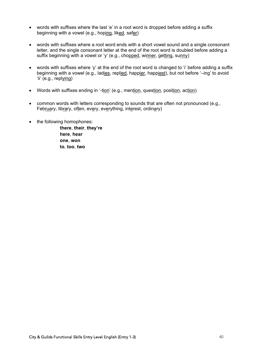- words with suffixes where the last 'e' in a root word is dropped before adding a suffix beginning with a vowel (e.g., hoping, liked, safer)
- words with suffixes where a root word ends with a short vowel sound and a single consonant letter, and the single consonant letter at the end of the root word is doubled before adding a suffix beginning with a vowel or 'y' (e.g., chopped, winner*,* getting, sunny)
- words with suffixes where 'y' at the end of the root word is changed to 'i' before adding a suffix beginning with a vowel (e.g., ladies, replied, happier, happiest), but not before '–ing' to avoid 'ii' (e.g., replying)
- Words with suffixes ending in '-tion' (e.g., mention, question, position, action)
- common words with letters corresponding to sounds that are often not pronounced (e.g., February, library, often, every, everything, interest, ordinary)
- the following homophones:

**there**, **their**, **they're here**, **hear one**, **won to**, **too**, **two**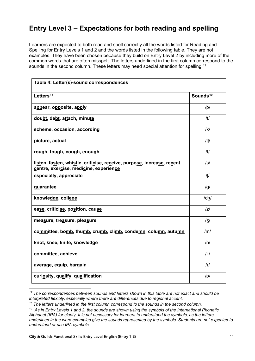## **Entry Level 3 – Expectations for both reading and spelling**

Learners are expected to both read and spell correctly all the words listed for Reading and Spelling for Entry Levels 1 and 2 and the words listed in the following table. They are not examples. They have been chosen because they build on Entry Level 2 by including more of the common words that are often misspelt. The letters underlined in the first column correspond to the sounds in the second column. These letters may need special attention for spelling.<sup>[17](#page-40-0)</sup>

| Table 4: Letter(s)-sound correspondences                                                                          |                      |
|-------------------------------------------------------------------------------------------------------------------|----------------------|
| Letters <sup>18</sup>                                                                                             | Sounds <sup>19</sup> |
| appear, opposite, apply                                                                                           | /p/                  |
| doubt, debt, attach, minute                                                                                       | /t/                  |
| scheme, occasion, according                                                                                       | /k/                  |
| picture, actual                                                                                                   | /tʃ/                 |
| rough, tough, cough, enough                                                                                       | / f /                |
| listen, fasten, whistle, criticise, receive, purpose, increase, recent,<br>centre, exercise, medicine, experience | $\sqrt{s}$           |
| especially, appreciate                                                                                            | /ʃ/                  |
| guarantee                                                                                                         | /g/                  |
| knowledge, college                                                                                                | /dz/                 |
| ease, criticise, position, cause                                                                                  | z                    |
| measure, treasure, pleasure                                                                                       | $\frac{1}{3}$        |
| committee, bomb, thumb, crumb, climb, condemn, column, autumn                                                     | /m/                  |
| knot, knee, knife, knowledge                                                                                      | /n/                  |
| committee, achieve                                                                                                | $/ii$ :/             |
| average, equip, bargain                                                                                           | I                    |
| curiosity, qualify, qualification                                                                                 | D                    |

<span id="page-40-0"></span>*<sup>17</sup> The correspondences between sounds and letters shown in this table are not exact and should be interpreted flexibly, especially where there are differences due to regional accent.*

<span id="page-40-1"></span>*<sup>18</sup> The letters underlined in the first column correspond to the sounds in the second column.*

<span id="page-40-2"></span>*<sup>19</sup> As in Entry Levels 1 and 2, the sounds are shown using the symbols of the International Phonetic Alphabet (IPA) for clarity. It is not necessary for learners to understand the symbols, as the letters underlined in the word examples give the sounds represented by the symbols. Students are not expected to understand or use IPA symbols.*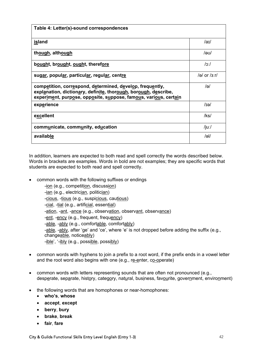| Table 4: Letter(s)-sound correspondences                                                                                                                                                                                                      |                 |
|-----------------------------------------------------------------------------------------------------------------------------------------------------------------------------------------------------------------------------------------------|-----------------|
| island                                                                                                                                                                                                                                        | /aɪ/            |
| though, although                                                                                                                                                                                                                              | /ອບ/            |
| bought, brought, ought, therefore                                                                                                                                                                                                             | /oː/            |
| sugar, popular, particular, regular, centre                                                                                                                                                                                                   | /ə/ or $/3$ :r/ |
| competition, correspond, determined, develop, frequently,<br>explanation, dictionary, definite, thorough, borough, describe,<br>exper <u>ime</u> nt, purp <u>o</u> se, opp <u>o</u> site, s <u>u</u> ppose, famous, various, cert <u>ai</u> n | /ə/             |
| exp <u>e</u> rience                                                                                                                                                                                                                           | /tə/            |
| excellent                                                                                                                                                                                                                                     | /ks/            |
| communicate, community, education                                                                                                                                                                                                             | /juː/           |
| available                                                                                                                                                                                                                                     | /əl/            |

In addition, learners are expected to both read and spell correctly the words described below. Words in brackets are examples. Words in bold are not examples; they are specific words that students are expected to both read and spell correctly.

• common words with the following suffixes or endings

-ion (e.g., competition, discussion) -ian (e.g., electrician, politician) -cious, -tious (e.g., suspicious, cautious) -cial, -tial (e.g., artificial, essential) -ation, -ant, -ance (e.g., observation, observant, observance) -ent, -ency (e.g., frequent, frequency) -able, -ably (e.g., comfortable, comfortably) -able, -ably, after 'ge' and 'ce', where 'e' is not dropped before adding the suffix (e.g., changeable, noticeably) -ible', '-ibly (e.g., possible, possibly)

- common words with hyphens to join a prefix to a root word, if the prefix ends in a vowel letter and the root word also begins with one (e.g., re-enter, co-operate)
- common words with letters representing sounds that are often not pronounced (e.g., desperate, separate, history, category, natural, business, favourite, government, environment)
- the following words that are homophones or near-homophones:
	- **who's**, **whose**
	- **accept**, **except**
	- **berry**, **bury**
	- **brake**, **break**
	- **fair**, **fare**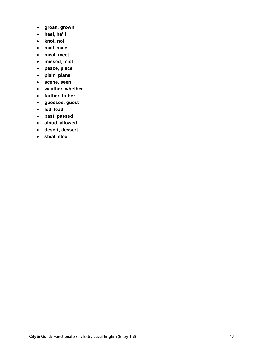- **groan**, **grown**
- **heel**, **he'll**
- **knot**, **not**
- **mail**, **male**
- **meat**, **meet**
- **missed**, **mist**
- **peace**, **piece**
- **plain**, **plane**
- **scene**, **seen**
- **weather**, **whether**
- **farther**, **father**
- **guessed**, **guest**
- **led**, **lead**
- **past**, **passed**
- **aloud**, **allowed**
- **desert, dessert**
- **steal**, **steel**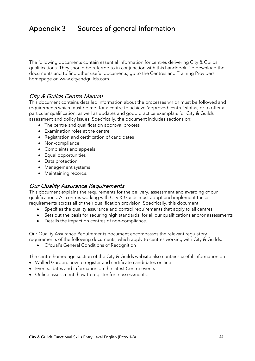## <span id="page-43-0"></span>Appendix 3 Sources of general information

The following documents contain essential information for centres delivering City & Guilds qualifications. They should be referred to in conjunction with this handbook. To download the documents and to find other useful documents, go to the Centres and Training Providers homepage on www.cityandguilds.com.

#### [City & Guilds Centre Manual](https://www.cityandguilds.com/delivering-our-qualifications/centre-development/quality-assurance/quality-assurance-documents)

This document contains detailed information about the processes which must be followed and requirements which must be met for a centre to achieve 'approved centre' status, or to offer a particular qualification, as well as updates and good practice exemplars for City & Guilds assessment and policy issues. Specifically, the document includes sections on:

- The centre and qualification approval process
- Examination roles at the centre
- Registration and certification of candidates
- Non-compliance
- Complaints and appeals
- Equal opportunities
- Data protection
- Management systems
- Maintaining records.

#### [Our Quality Assurance Requirements](https://www.cityandguilds.com/delivering-our-qualifications/centre-development/quality-assurance/quality-assurance-documents)

This document explains the requirements for the delivery, assessment and awarding of our qualifications. All centres working with City & Guilds must adopt and implement these requirements across all of their qualification provision. Specifically, this document:

- Specifies the quality assurance and control requirements that apply to all centres
- Sets out the basis for securing high standards, for all our qualifications and/or assessments
- Details the impact on centres of non-compliance.

Our Quality Assurance Requirements document encompasses the relevant regulatory requirements of the following documents, which apply to centres working with City & Guilds:

• Ofqual's General Conditions of Recognition

The [centre homepage](https://www.cityandguilds.com/delivering-our-qualifications/centre-development/centre-document-library) section of the City & Guilds website also contains useful information on

- [Walled Garden:](https://www.walled-garden.com/login?returnUrl=%2f&pinged=true) how to register and certificate candidates on line
- [Events:](https://www.cityandguilds.com/what-we-offer/centres/improving-teaching-learning) dates and information on the latest Centre events
- [Online assessment:](https://www.cityandguilds.com/what-we-offer/centres/working-with-us/e-volve) how to register for e-assessments.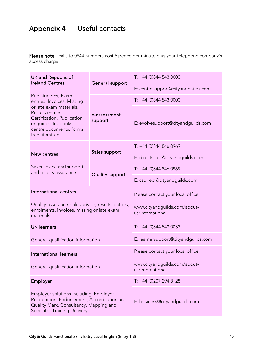## <span id="page-44-0"></span>Appendix 4 Useful contacts

Please note - calls to 0844 numbers cost 5 pence per minute plus your telephone company's access charge.

| UK and Republic of<br><b>Ireland Centres</b>                                                                                                                                                          |                         | $T: +44$ (0)844 543 0000                         |
|-------------------------------------------------------------------------------------------------------------------------------------------------------------------------------------------------------|-------------------------|--------------------------------------------------|
|                                                                                                                                                                                                       | General support         | E: centresupport@cityandguilds.com               |
| Registrations, Exam<br>entries, Invoices, Missing<br>or late exam materials,<br>Results entries,<br>Certification. Publication<br>enquiries: logbooks,<br>centre documents, forms,<br>free literature |                         | $T: +44$ (0)844 543 0000                         |
|                                                                                                                                                                                                       | e-assessment<br>support | E: evolvesupport@cityandguilds.com               |
|                                                                                                                                                                                                       |                         | $T: +44$ (0)844 846 0969                         |
| New centres                                                                                                                                                                                           | Sales support           | E: directsales@cityandguilds.com                 |
| Sales advice and support<br>and quality assurance                                                                                                                                                     | <b>Quality support</b>  | $T: +44(0)8448460969$                            |
|                                                                                                                                                                                                       |                         | E: csdirect@cityandguilds.com                    |
| International centres                                                                                                                                                                                 |                         | Please contact your local office:                |
| Quality assurance, sales advice, results, entries,<br>enrolments, invoices, missing or late exam<br>materials                                                                                         |                         | www.cityandguilds.com/about-<br>us/international |
| <b>UK</b> learners                                                                                                                                                                                    |                         | $T: +44$ (0)844 543 0033                         |
| General qualification information                                                                                                                                                                     |                         | E: learnersupport@cityandguilds.com              |
| International learners                                                                                                                                                                                |                         | Please contact your local office:                |
| General qualification information                                                                                                                                                                     |                         | www.cityandguilds.com/about-<br>us/international |
| Employer                                                                                                                                                                                              |                         | $T: +44$ (0)207 294 8128                         |
| Employer solutions including, Employer<br>Recognition: Endorsement, Accreditation and<br>Quality Mark, Consultancy, Mapping and<br><b>Specialist Training Delivery</b>                                |                         | E: business@cityandguilds.com                    |